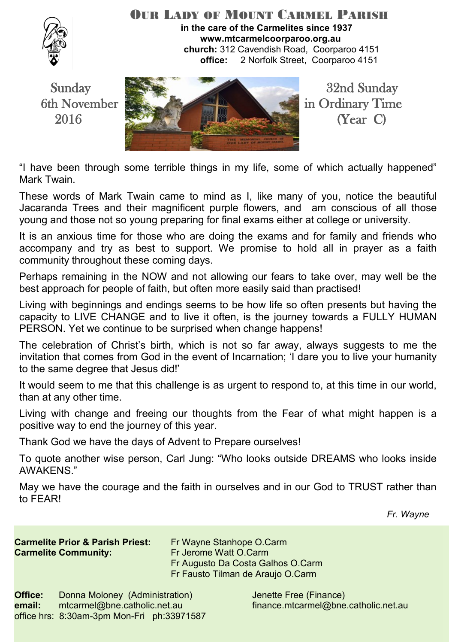

#### OUR LADY OF MOUNT CARMEL PARISH **in the care of the Carmelites since 1937 www.mtcarmelcoorparoo.org.au church:** 312 Cavendish Road, Coorparoo 4151 **office:** 2 Norfolk Street, Coorparoo 4151



"I have been through some terrible things in my life, some of which actually happened" Mark Twain.

These words of Mark Twain came to mind as I, like many of you, notice the beautiful Jacaranda Trees and their magnificent purple flowers, and am conscious of all those young and those not so young preparing for final exams either at college or university.

It is an anxious time for those who are doing the exams and for family and friends who accompany and try as best to support. We promise to hold all in prayer as a faith community throughout these coming days.

Perhaps remaining in the NOW and not allowing our fears to take over, may well be the best approach for people of faith, but often more easily said than practised!

Living with beginnings and endings seems to be how life so often presents but having the capacity to LIVE CHANGE and to live it often, is the journey towards a FULLY HUMAN PERSON. Yet we continue to be surprised when change happens!

The celebration of Christ's birth, which is not so far away, always suggests to me the invitation that comes from God in the event of Incarnation; 'I dare you to live your humanity to the same degree that Jesus did!'

It would seem to me that this challenge is as urgent to respond to, at this time in our world, than at any other time.

Living with change and freeing our thoughts from the Fear of what might happen is a positive way to end the journey of this year.

Thank God we have the days of Advent to Prepare ourselves!

To quote another wise person, Carl Jung: "Who looks outside DREAMS who looks inside AWAKENS."

May we have the courage and the faith in ourselves and in our God to TRUST rather than to FEAR!

*Fr. Wayne*

**Carmelite Prior & Parish Priest:** Fr Wayne Stanhope O.Carm **Carmelite Community: Fr Jerome Watt O.Carm** 

 Fr Augusto Da Costa Galhos O.Carm Fr Fausto Tilman de Araujo O.Carm

**Office:** Donna Moloney (Administration) Jenette Free (Finance) **email:** mtcarmel@bne.catholic.net.au finance.mtcarmel@bne.catholic.net.au office hrs: 8:30am-3pm Mon-Fri ph:33971587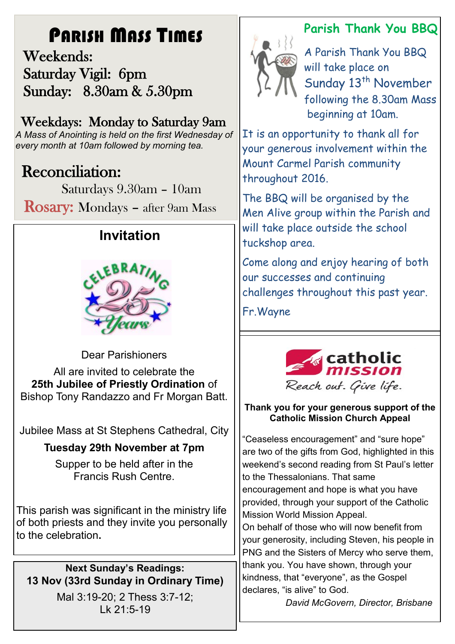# PARISH MASS TIMES

 Weekends: Saturday Vigil: 6pm Sunday: 8.30am & 5.30pm

## Weekdays: Monday to Saturday 9am

*A Mass of Anointing is held on the first Wednesday of every month at 10am followed by morning tea.*

# **Reconciliation:**

Saturdays 9.30am – 10am

Rosary: Mondays – after 9am Mass

# **Invitation**



Dear Parishioners All are invited to celebrate the **25th Jubilee of Priestly Ordination** of Bishop Tony Randazzo and Fr Morgan Batt.

Jubilee Mass at St Stephens Cathedral, City

### **Tuesday 29th November at 7pm**

Supper to be held after in the Francis Rush Centre.

This parish was significant in the ministry life of both priests and they invite you personally to the celebration**.**

**Next Sunday's Readings: 13 Nov (33rd Sunday in Ordinary Time)**

> Mal 3:19-20; 2 Thess 3:7-12; Lk 21:5-19

# **Parish Thank You BBQ**



A Parish Thank You BBQ will take place on Sunday 13<sup>th</sup> November following the 8.30am Mass beginning at 10am.

It is an opportunity to thank all for your generous involvement within the Mount Carmel Parish community throughout 2016.

The BBQ will be organised by the Men Alive group within the Parish and will take place outside the school tuckshop area.

Come along and enjoy hearing of both our successes and continuing challenges throughout this past year.

Fr.Wayne



### **Thank you for your generous support of the Catholic Mission Church Appeal**

"Ceaseless encouragement" and "sure hope" are two of the gifts from God, highlighted in this weekend's second reading from St Paul's letter to the Thessalonians. That same encouragement and hope is what you have provided, through your support of the Catholic Mission World Mission Appeal.

On behalf of those who will now benefit from your generosity, including Steven, his people in PNG and the Sisters of Mercy who serve them, thank you. You have shown, through your kindness, that "everyone", as the Gospel declares, "is alive" to God.

*David McGovern, Director, Brisbane*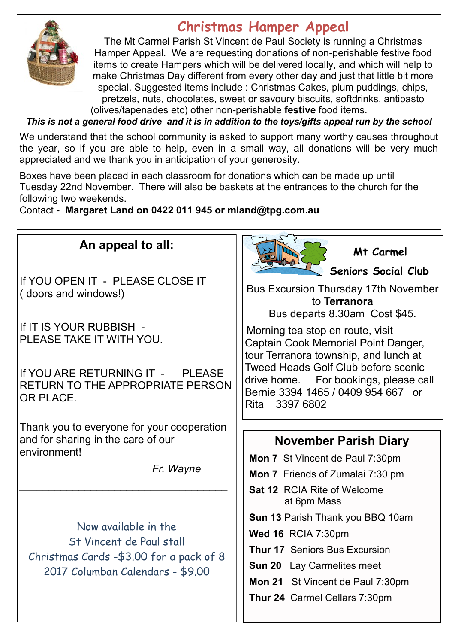

## **Christmas Hamper Appeal**

The Mt Carmel Parish St Vincent de Paul Society is running a Christmas Hamper Appeal. We are requesting donations of non-perishable festive food items to create Hampers which will be delivered locally, and which will help to make Christmas Day different from every other day and just that little bit more special. Suggested items include : Christmas Cakes, plum puddings, chips, pretzels, nuts, chocolates, sweet or savoury biscuits, softdrinks, antipasto (olives/tapenades etc) other non-perishable **festive** food items.

*This is not a general food drive and it is in addition to the toys/gifts appeal run by the school*

We understand that the school community is asked to support many worthy causes throughout the year, so if you are able to help, even in a small way, all donations will be very much appreciated and we thank you in anticipation of your generosity.

Boxes have been placed in each classroom for donations which can be made up until Tuesday 22nd November. There will also be baskets at the entrances to the church for the following two weekends.

Contact - **Margaret Land on 0422 011 945 or mland@tpg.com.au** 

### **An appeal to all:**

If YOU OPEN IT - PLEASE CLOSE IT ( doors and windows!)

If IT IS YOUR RUBBISH - PLEASE TAKE IT WITH YOU.

If YOU ARE RETURNING IT - PI FASE RETURN TO THE APPROPRIATE PERSON OR PLACE.

Thank you to everyone for your cooperation and for sharing in the care of our environment!

*\_\_\_\_\_\_\_\_\_\_\_\_\_\_\_\_\_\_\_\_\_\_\_\_\_\_\_\_\_\_\_\_\_\_\_*

*Fr. Wayne*

Now available in the St Vincent de Paul stall Christmas Cards -\$3.00 for a pack of 8 2017 Columban Calendars - \$9.00



 **Mt Carmel**

**Seniors Social Club** 

Bus Excursion Thursday 17th November to **Terranora** 

Bus departs 8.30am Cost \$45.

Morning tea stop en route, visit Captain Cook Memorial Point Danger, tour Terranora township, and lunch at Tweed Heads Golf Club before scenic drive home. For bookings, please call Bernie 3394 1465 / 0409 954 667 or Rita 3397 6802

### **November Parish Diary**

**Mon 7** St Vincent de Paul 7:30pm

**Mon 7** Friends of Zumalai 7:30 pm

**Sat 12** RCIA Rite of Welcome at 6pm Mass

**Sun 13** Parish Thank you BBQ 10am

**Wed 16** RCIA 7:30pm

**Thur 17** Seniors Bus Excursion

**Sun 20** Lay Carmelites meet

**Mon 21** St Vincent de Paul 7:30pm

**Thur 24** Carmel Cellars 7:30pm